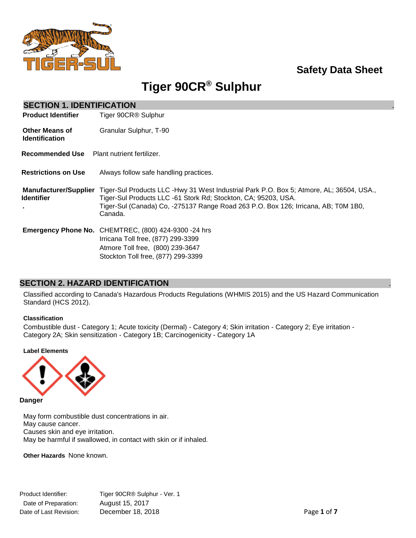

# **Safety Data Sheet**

# **Tiger 90CR® Sulphur**

| <b>SECTION 1. IDENTIFICATION</b>                  |                                                                                                                                                                                                                                                             |
|---------------------------------------------------|-------------------------------------------------------------------------------------------------------------------------------------------------------------------------------------------------------------------------------------------------------------|
| <b>Product Identifier</b>                         | Tiger 90CR <sup>®</sup> Sulphur                                                                                                                                                                                                                             |
| <b>Other Means of</b><br><b>Identification</b>    | Granular Sulphur, T-90                                                                                                                                                                                                                                      |
| Recommended Use                                   | Plant nutrient fertilizer.                                                                                                                                                                                                                                  |
| <b>Restrictions on Use</b>                        | Always follow safe handling practices.                                                                                                                                                                                                                      |
| <b>Manufacturer/Supplier</b><br><b>Identifier</b> | Tiger-Sul Products LLC -Hwy 31 West Industrial Park P.O. Box 5; Atmore, AL; 36504, USA.,<br>Tiger-Sul Products LLC -61 Stork Rd; Stockton, CA; 95203, USA.<br>Tiger-Sul (Canada) Co, -275137 Range Road 263 P.O. Box 126; Irricana, AB; T0M 1B0,<br>Canada. |
|                                                   | <b>Emergency Phone No. CHEMTREC, (800) 424-9300 -24 hrs</b><br>Irricana Toll free, (877) 299-3399<br>Atmore Toll free, (800) 239-3647<br>Stockton Toll free, (877) 299-3399                                                                                 |

### **SECTION 2. HAZARD IDENTIFICATION** .

Classified according to Canada's Hazardous Products Regulations (WHMIS 2015) and the US Hazard Communication Standard (HCS 2012).

### **Classification**

Combustible dust - Category 1; Acute toxicity (Dermal) - Category 4; Skin irritation - Category 2; Eye irritation - Category 2A; Skin sensitization - Category 1B; Carcinogenicity - Category 1A

### **Label Elements**



**Danger**

May form combustible dust concentrations in air. May cause cancer. Causes skin and eye irritation. May be harmful if swallowed, in contact with skin or if inhaled.

**Other Hazards** None known.

Product Identifier: Tiger 90CR® Sulphur - Ver. 1 Date of Preparation: August 15, 2017 Date of Last Revision: December 18, 2018 **Page 1** of **7** and **Page 1** of **7**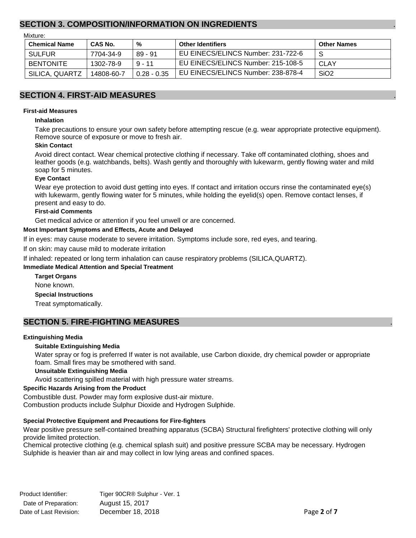### **SECTION 3. COMPOSITION/INFORMATION ON INGREDIENTS** .

Mixture:

| <b>Chemical Name</b> | CAS No.    | %             | <b>Other Identifiers</b>           | <b>Other Names</b> |
|----------------------|------------|---------------|------------------------------------|--------------------|
| <b>SULFUR</b>        | 7704-34-9  | $89 - 91$     | EU EINECS/ELINCS Number: 231-722-6 | -S                 |
| <b>BENTONITE</b>     | 1302-78-9  | $9 - 11$      | EU EINECS/ELINCS Number: 215-108-5 | CLAY               |
| SILICA, QUARTZ       | 14808-60-7 | $0.28 - 0.35$ | EU EINECS/ELINCS Number: 238-878-4 | SiO <sub>2</sub>   |

### **SECTION 4. FIRST-AID MEASURES** .

#### **First-aid Measures**

#### **Inhalation**

Take precautions to ensure your own safety before attempting rescue (e.g. wear appropriate protective equipment). Remove source of exposure or move to fresh air.

#### **Skin Contact**

Avoid direct contact. Wear chemical protective clothing if necessary. Take off contaminated clothing, shoes and leather goods (e.g. watchbands, belts). Wash gently and thoroughly with lukewarm, gently flowing water and mild soap for 5 minutes.

#### **Eye Contact**

Wear eye protection to avoid dust getting into eyes. If contact and irritation occurs rinse the contaminated eye(s) with lukewarm, gently flowing water for 5 minutes, while holding the eyelid(s) open. Remove contact lenses, if present and easy to do.

#### **First-aid Comments**

Get medical advice or attention if you feel unwell or are concerned.

#### **Most Important Symptoms and Effects, Acute and Delayed**

If in eyes: may cause moderate to severe irritation. Symptoms include sore, red eyes, and tearing.

If on skin: may cause mild to moderate irritation

If inhaled: repeated or long term inhalation can cause respiratory problems (SILICA,QUARTZ).

#### **Immediate Medical Attention and Special Treatment**

**Target Organs** None known. **Special Instructions** Treat symptomatically.

### **SECTION 5. FIRE-FIGHTING MEASURES** .

#### **Extinguishing Media**

### **Suitable Extinguishing Media**

Water spray or fog is preferred If water is not available, use Carbon dioxide, dry chemical powder or appropriate foam. Small fires may be smothered with sand.

#### **Unsuitable Extinguishing Media**

Avoid scattering spilled material with high pressure water streams.

#### **Specific Hazards Arising from the Product**

Combustible dust. Powder may form explosive dust-air mixture. Combustion products include Sulphur Dioxide and Hydrogen Sulphide.

### **Special Protective Equipment and Precautions for Fire-fighters**

Wear positive pressure self-contained breathing apparatus (SCBA) Structural firefighters' protective clothing will only provide limited protection.

Chemical protective clothing (e.g. chemical splash suit) and positive pressure SCBA may be necessary. Hydrogen Sulphide is heavier than air and may collect in low lying areas and confined spaces.

Product Identifier: Tiger 90CR® Sulphur - Ver. 1 Date of Preparation: August 15, 2017 Date of Last Revision: December 18, 2018 **Page 2** of **7**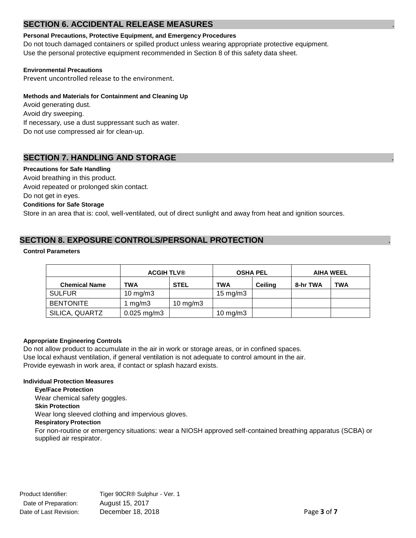### **SECTION 6. ACCIDENTAL RELEASE MEASURES**

### **Personal Precautions, Protective Equipment, and Emergency Procedures**

Do not touch damaged containers or spilled product unless wearing appropriate protective equipment. Use the personal protective equipment recommended in Section 8 of this safety data sheet.

### **Environmental Precautions**

Prevent uncontrolled release to the environment.

### **Methods and Materials for Containment and Cleaning Up**

Avoid generating dust. Avoid dry sweeping. If necessary, use a dust suppressant such as water. Do not use compressed air for clean-up.

# **SECTION 7. HANDLING AND STORAGE**

### **Precautions for Safe Handling**

Avoid breathing in this product. Avoid repeated or prolonged skin contact. Do not get in eyes. **Conditions for Safe Storage** Store in an area that is: cool, well-ventilated, out of direct sunlight and away from heat and ignition sources.

# **SECTION 8. EXPOSURE CONTROLS/PERSONAL PROTECTION** .

### **Control Parameters**

|                      | <b>ACGIH TLV®</b> |                   | <b>OSHA PEL</b>     |                | <b>AIHA WEEL</b> |            |
|----------------------|-------------------|-------------------|---------------------|----------------|------------------|------------|
| <b>Chemical Name</b> | TWA               | <b>STEL</b>       | <b>TWA</b>          | <b>Ceiling</b> | 8-hr TWA         | <b>TWA</b> |
| <b>SULFUR</b>        | $10 \text{ mg/m}$ |                   | $15 \text{ mg/m}$   |                |                  |            |
| <b>BENTONITE</b>     | mg/m3             | $10 \text{ mg/m}$ |                     |                |                  |            |
| SILICA, QUARTZ       | $0.025$ mg/m3     |                   | $10 \text{ mg/m}$ 3 |                |                  |            |

### **Appropriate Engineering Controls**

Do not allow product to accumulate in the air in work or storage areas, or in confined spaces. Use local exhaust ventilation, if general ventilation is not adequate to control amount in the air. Provide eyewash in work area, if contact or splash hazard exists.

### **Individual Protection Measures**

**Eye/Face Protection** Wear chemical safety goggles. **Skin Protection** Wear long sleeved clothing and impervious gloves. **Respiratory Protection** For non-routine or emergency situations: wear a NIOSH approved self-contained breathing apparatus (SCBA) or supplied air respirator.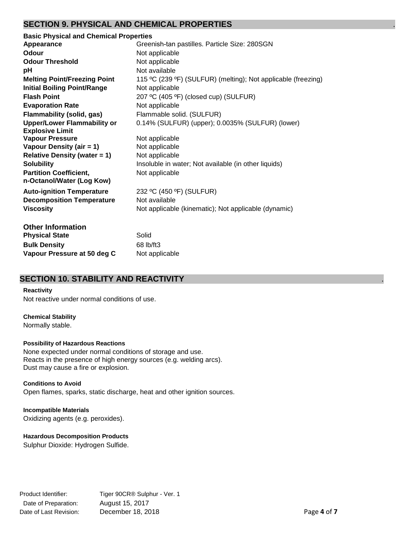### **SECTION 9. PHYSICAL AND CHEMICAL PROPERTIES** .

| <b>Basic Physical and Chemical Properties</b> |                                                               |
|-----------------------------------------------|---------------------------------------------------------------|
| Appearance                                    | Greenish-tan pastilles. Particle Size: 280SGN                 |
| Odour                                         | Not applicable                                                |
| <b>Odour Threshold</b>                        | Not applicable                                                |
| рH                                            | Not available                                                 |
| <b>Melting Point/Freezing Point</b>           | 115 °C (239 °F) (SULFUR) (melting); Not applicable (freezing) |
| <b>Initial Boiling Point/Range</b>            | Not applicable                                                |
| <b>Flash Point</b>                            | 207 °C (405 °F) (closed cup) (SULFUR)                         |
| <b>Evaporation Rate</b>                       | Not applicable                                                |
| <b>Flammability (solid, gas)</b>              | Flammable solid. (SULFUR)                                     |
| <b>Upper/Lower Flammability or</b>            | 0.14% (SULFUR) (upper); 0.0035% (SULFUR) (lower)              |
| <b>Explosive Limit</b>                        |                                                               |
| <b>Vapour Pressure</b>                        | Not applicable                                                |
| Vapour Density (air = 1)                      | Not applicable                                                |
| <b>Relative Density (water = 1)</b>           | Not applicable                                                |
| <b>Solubility</b>                             | Insoluble in water; Not available (in other liquids)          |
| <b>Partition Coefficient,</b>                 | Not applicable                                                |
| n-Octanol/Water (Log Kow)                     |                                                               |
| <b>Auto-ignition Temperature</b>              | 232 °C (450 °F) (SULFUR)                                      |
| <b>Decomposition Temperature</b>              | Not available                                                 |
| <b>Viscosity</b>                              | Not applicable (kinematic); Not applicable (dynamic)          |
|                                               |                                                               |
| <b>Other Information</b>                      |                                                               |
| <b>Physical State</b>                         | Solid                                                         |
| <b>Bulk Density</b>                           | 68 lb/ft3                                                     |
| Vapour Pressure at 50 deg C                   | Not applicable                                                |

### **SECTION 10. STABILITY AND REACTIVITY** .

### **Reactivity**

Not reactive under normal conditions of use.

### **Chemical Stability**

Normally stable.

### **Possibility of Hazardous Reactions**

None expected under normal conditions of storage and use. Reacts in the presence of high energy sources (e.g. welding arcs). Dust may cause a fire or explosion.

### **Conditions to Avoid**

Open flames, sparks, static discharge, heat and other ignition sources.

### **Incompatible Materials**  Oxidizing agents (e.g. peroxides).

### **Hazardous Decomposition Products**

Sulphur Dioxide: Hydrogen Sulfide.

Product Identifier: Tiger 90CR® Sulphur - Ver. 1 Date of Preparation: August 15, 2017 Date of Last Revision: December 18, 2018 **Page 4** of **7** Page 4 of **7**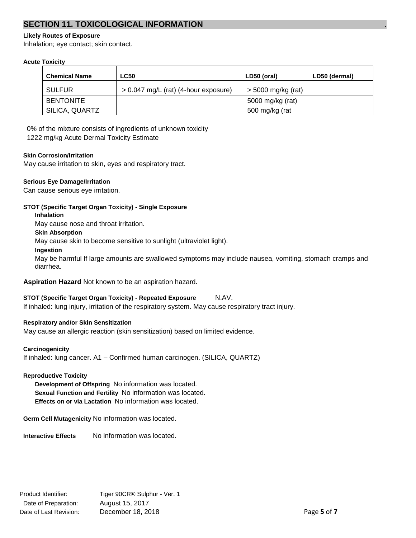## **SECTION 11. TOXICOLOGICAL INFORMATION** .

### **Likely Routes of Exposure**

Inhalation; eye contact; skin contact.

### **Acute Toxicity**

| <b>Chemical Name</b> | <b>LC50</b>                            | LD50 (oral)          | LD50 (dermal) |
|----------------------|----------------------------------------|----------------------|---------------|
| <b>SULFUR</b>        | $> 0.047$ mg/L (rat) (4-hour exposure) | $>$ 5000 mg/kg (rat) |               |
| <b>BENTONITE</b>     |                                        | 5000 mg/kg (rat)     |               |
| SILICA, QUARTZ       |                                        | 500 mg/kg (rat       |               |

0% of the mixture consists of ingredients of unknown toxicity

1222 mg/kg Acute Dermal Toxicity Estimate

### **Skin Corrosion/Irritation**

May cause irritation to skin, eyes and respiratory tract.

### **Serious Eye Damage/Irritation**

Can cause serious eye irritation.

### **STOT (Specific Target Organ Toxicity) - Single Exposure**

**Inhalation**

May cause nose and throat irritation.

### **Skin Absorption**

May cause skin to become sensitive to sunlight (ultraviolet light).

### **Ingestion**

May be harmful If large amounts are swallowed symptoms may include nausea, vomiting, stomach cramps and diarrhea.

**Aspiration Hazard** Not known to be an aspiration hazard.

### **STOT (Specific Target Organ Toxicity) - Repeated Exposure** N.AV.

If inhaled: lung injury, irritation of the respiratory system. May cause respiratory tract injury.

### **Respiratory and/or Skin Sensitization**

May cause an allergic reaction (skin sensitization) based on limited evidence.

### **Carcinogenicity**

If inhaled: lung cancer. A1 – Confirmed human carcinogen. (SILICA, QUARTZ)

### **Reproductive Toxicity**

**Development of Offspring** No information was located. **Sexual Function and Fertility** No information was located. **Effects on or via Lactation** No information was located.

**Germ Cell Mutagenicity** No information was located.

**Interactive Effects** No information was located.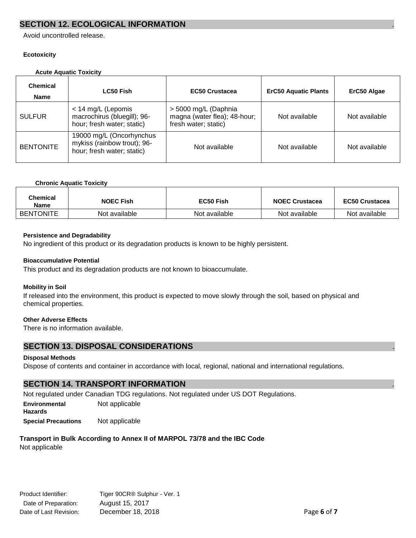### **SECTION 12. ECOLOGICAL INFORMATION**

Avoid uncontrolled release.

### **Ecotoxicity**

### **Acute Aquatic Toxicity**

| <b>Chemical</b><br><b>Name</b> | <b>LC50 Fish</b>                                                                      | <b>EC50 Crustacea</b>                                                        | <b>ErC50 Aquatic Plants</b> | ErC50 Algae   |
|--------------------------------|---------------------------------------------------------------------------------------|------------------------------------------------------------------------------|-----------------------------|---------------|
| <b>SULFUR</b>                  | < 14 mg/L (Lepomis<br>macrochirus (bluegill); 96-<br>hour; fresh water; static)       | > 5000 mg/L (Daphnia<br>magna (water flea); 48-hour;<br>fresh water; static) | Not available               | Not available |
| <b>BENTONITE</b>               | 19000 mg/L (Oncorhynchus<br>mykiss (rainbow trout); 96-<br>hour; fresh water; static) | Not available                                                                | Not available               | Not available |

#### **Chronic Aquatic Toxicity**

| Chemical<br>Name | <b>NOEC Fish</b> | EC50 Fish     | <b>NOEC Crustacea</b> | <b>EC50 Crustacea</b> |
|------------------|------------------|---------------|-----------------------|-----------------------|
| <b>BENTONITE</b> | Not available    | Not available | Not available         | Not available         |

### **Persistence and Degradability**

No ingredient of this product or its degradation products is known to be highly persistent.

#### **Bioaccumulative Potential**

This product and its degradation products are not known to bioaccumulate.

### **Mobility in Soil**

If released into the environment, this product is expected to move slowly through the soil, based on physical and chemical properties.

### **Other Adverse Effects**

There is no information available.

### **SECTION 13. DISPOSAL CONSIDERATIONS** .

### **Disposal Methods**

Dispose of contents and container in accordance with local, regional, national and international regulations.

### **SECTION 14. TRANSPORT INFORMATION** .

Not regulated under Canadian TDG regulations. Not regulated under US DOT Regulations.

**Environmental** Not applicable **Hazards**

**Special Precautions** Not applicable

### **Transport in Bulk According to Annex II of MARPOL 73/78 and the IBC Code**

Not applicable